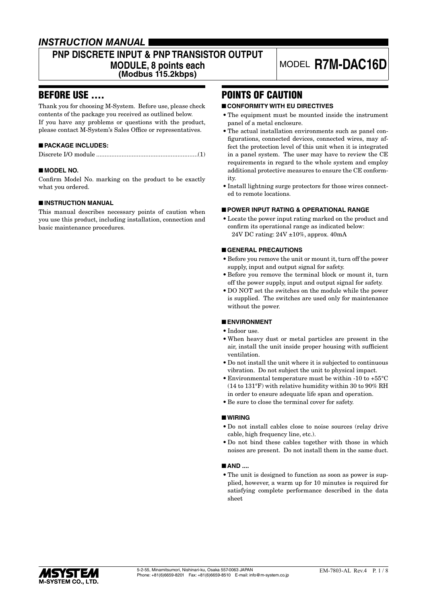### *INSTRUCTION MANUAL*

### **PNP DISCRETE INPUT & PNP TRANSISTOR OUTPUT**

**MODULE, 8 points each**

**(Modbus 115.2kbps)**

# MODEL **R7M-DAC16D**

### BEFORE USE ....

Thank you for choosing M-System. Before use, please check contents of the package you received as outlined below. If you have any problems or questions with the product, please contact M-System's Sales Office or representatives.

### ■ **PACKAGE INCLUDES:**

|--|

### ■ **MODEL NO.**

Confirm Model No. marking on the product to be exactly what you ordered.

### ■ **INSTRUCTION MANUAL**

This manual describes necessary points of caution when you use this product, including installation, connection and basic maintenance procedures.

### POINTS OF CAUTION

### ■ **CONFORMITY WITH EU DIRECTIVES**

- The equipment must be mounted inside the instrument panel of a metal enclosure.
- The actual installation environments such as panel configurations, connected devices, connected wires, may affect the protection level of this unit when it is integrated in a panel system. The user may have to review the CE requirements in regard to the whole system and employ additional protective measures to ensure the CE conformity.
- Install lightning surge protectors for those wires connected to remote locations.

### ■ **POWER INPUT RATING & OPERATIONAL RANGE**

• Locate the power input rating marked on the product and confirm its operational range as indicated below: 24V DC rating: 24V ±10%, approx. 40mA

### ■ **GENERAL PRECAUTIONS**

- Before you remove the unit or mount it, turn off the power supply, input and output signal for safety.
- Before you remove the terminal block or mount it, turn off the power supply, input and output signal for safety.
- DO NOT set the switches on the module while the power is supplied. The switches are used only for maintenance without the power.

### ■ **ENVIRONMENT**

- Indoor use.
- When heavy dust or metal particles are present in the air, install the unit inside proper housing with sufficient ventilation.
- Do not install the unit where it is subjected to continuous vibration. Do not subject the unit to physical impact.
- Environmental temperature must be within -10 to +55°C (14 to 131°F) with relative humidity within 30 to 90% RH in order to ensure adequate life span and operation.
- Be sure to close the terminal cover for safety.

#### ■ **WIRING**

- Do not install cables close to noise sources (relay drive cable, high frequency line, etc.).
- Do not bind these cables together with those in which noises are present. Do not install them in the same duct.

#### ■ **AND** ....

• The unit is designed to function as soon as power is supplied, however, a warm up for 10 minutes is required for satisfying complete performance described in the data sheet

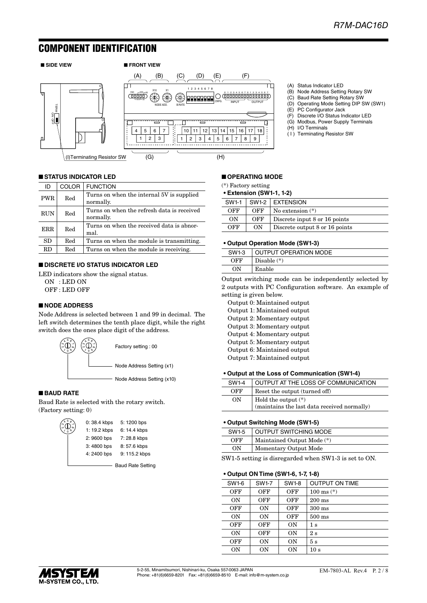### COMPONENT IDENTIFICATION



### ■ **STATUS INDICATOR LED**

| ID         | COLOR | <b>FUNCTION</b>                                         |
|------------|-------|---------------------------------------------------------|
| <b>PWR</b> | Red   | Turns on when the internal 5V is supplied<br>normally.  |
| <b>RUN</b> | Red   | Turns on when the refresh data is received<br>normally. |
| <b>ERR</b> | Red   | Turns on when the received data is abnor-<br>mal.       |
| SD         | Red   | Turns on when the module is transmitting.               |
| RD.        | Red   | Turns on when the module is receiving.                  |

### ■ **DISCRETE I/O STATUS INDICATOR LED**

LED indicators show the signal status. ON : LED ON OFF : LED OFF

### ■ **NODE ADDRESS**

Node Address is selected between 1 and 99 in decimal. The left switch determines the tenth place digit, while the right switch does the ones place digit of the address.



#### ■ **BAUD RATE**

Baud Rate is selected with the rotary switch. (Factory setting: 0)

| $\bigoplus_{i=0}^{\infty} \bigoplus_{j=1}^{\infty} \mathbb{C}^{n-j}$ | 0:38.4 kbps  | 5: 1200 bps   |
|----------------------------------------------------------------------|--------------|---------------|
|                                                                      | 1: 19.2 kbps | 6: 14.4 kbps  |
|                                                                      | 2:9600 bps   | 7:28.8 kbps   |
|                                                                      | 3:4800 bps   | 8:57.6 kbps   |
|                                                                      | 4:2400 bps   | 9: 115.2 kbps |
|                                                                      |              |               |

Baud Rate Setting

### ■ **OPERATING MODE**

(\*) Factory setting

#### **• Extension (SW1-1, 1-2)**

| <b>SW1-1</b> |     | $SW1-2$ EXTENSION              |
|--------------|-----|--------------------------------|
| OFF          | OFF | No extension $(*)$             |
| ON           | OFF | Discrete input 8 or 16 points  |
| OFF          | ON  | Discrete output 8 or 16 points |

(A) Status Indicator LED

(E) PC Configurator Jack (F) Discrete I/O Status Indicator LED (G) Modbus, Power Supply Terminals

(H) I/O Terminals ( I ) Terminating Resistor SW

(B) Node Address Setting Rotary SW (C) Baud Rate Setting Rotary SW (D) Operating Mode Setting DIP SW (SW1)

#### **• Output Operation Mode (SW1-3)**

| SW1-3 | <b>OUTPUT OPERATION MODE</b> |
|-------|------------------------------|
| OFF   | Disable $(*)$                |
| ON    | Enable                       |
|       |                              |

Output switching mode can be independently selected by 2 outputs with PC Configuration software. An example of setting is given below.

Output 0: Maintained output Output 1: Maintained output Output 2: Momentary output Output 3: Momentary output Output 4: Momentary output Output 5: Momentary output Output 6: Maintained output Output 7: Maintained output

#### **• Output at the Loss of Communication (SW1-4)**

| SW1-4 | OUTPUT AT THE LOSS OF COMMUNICATION                                           |
|-------|-------------------------------------------------------------------------------|
| OFF   | Reset the output (turned off)                                                 |
| ON    | Hold the output $(*)$<br>$(\mbox{maintains}$ the last data received normally) |
|       |                                                                               |

#### **• Output Switching Mode (SW1-5)**

| SW1-5 | <b>OUTPUT SWITCHING MODE</b> |
|-------|------------------------------|
| OFF   | Maintained Output Mode (*)   |
| OΝ    | Momentary Output Mode        |
|       |                              |

SW1-5 setting is disregarded when SW1-3 is set to ON.

#### **• Output ON Time (SW1-6, 1-7, 1-8)**

| SW1-6 | SW1-7     | SW1-8 | <b>OUTPUT ON TIME</b>  |
|-------|-----------|-------|------------------------|
| OFF   | OFF       | OFF   | $100 \text{ ms}$ $(*)$ |
| ON    | OFF       | OFF   | $200 \text{ ms}$       |
| OFF   | 0N        | OFF   | $300 \text{ ms}$       |
| ON    | <b>ON</b> | OFF   | $500$ ms               |
| OFF   | OFF       | ON    | $1\mathrm{\ s}$        |
| ON    | OFF       | ON    | 2s                     |
| OFF   | 0N        | ON    | 5s                     |
| 0N    | 0N        | ON    | 10 s                   |

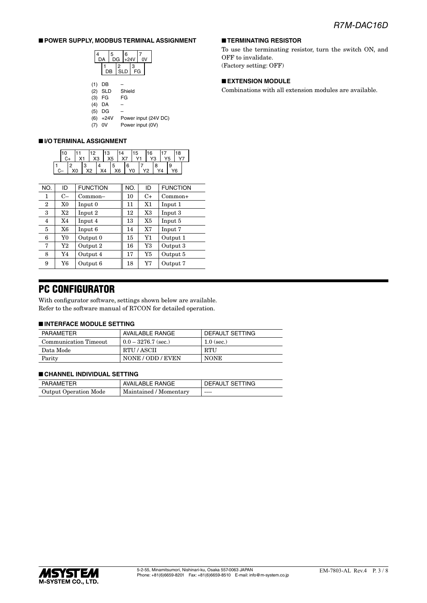■ **TERMINATING RESISTOR**

OFF to invalidate. (Factory setting: OFF)

■ **EXTENSION MODULE**

To use the terminating resistor, turn the switch ON, and

Combinations with all extension modules are available.

### ■ **POWER SUPPLY, MODBUS TERMINAL ASSIGNMENT**

| DA |    | 5 | DG              | 6<br>$+24V$ |    | ٦٧ |
|----|----|---|-----------------|-------------|----|----|
|    | DB |   | 2<br><b>SLD</b> |             | FG |    |
|    |    |   |                 |             |    |    |

| (1) | DB       |                      |
|-----|----------|----------------------|
|     | (2) SLD  | Shield               |
|     | (3) FG   | FG                   |
| (4) | DA       |                      |
|     | (5) DG   |                      |
|     | (6) +24V | Power input (24V DC) |
|     | (7) OV   | Power input (0V)     |

### ■ **I/O TERMINAL ASSIGNMENT**

| 10 |    |    | 12 | X3         | 13<br>$\mid$ X5 |     | $\mathsf{I}$ X7 |                 | 15<br>Y1 | 16        | Y <sub>5</sub> |   | 18 |  |
|----|----|----|----|------------|-----------------|-----|-----------------|-----------------|----------|-----------|----------------|---|----|--|
|    | X0 | IЗ | X2 | $\vert$ X4 |                 | . 5 | X6              | 6<br>$\vert$ YO |          | <b>Y2</b> | Y4             | 9 | Y6 |  |

| NO. | ID   | <b>FUNCTION</b> | NO. | ID   | <b>FUNCTION</b> |
|-----|------|-----------------|-----|------|-----------------|
| 1   | $C-$ | $Common-$       | 10  | $C+$ | $Common+$       |
| 2   | X0   | Input 0         | 11  | X1   | Input 1         |
| 3   | X2   | Input 2         | 12  | X3   | Input 3         |
| 4   | X4   | Input 4         | 13  | X5   | Input 5         |
| 5   | X6   | Input 6         | 14  | X7   | Input 7         |
| 6   | Y0   | Output 0        | 15  | Y1   | Output 1        |
| 7   | Y2   | Output 2        | 16  | Y3   | Output 3        |
| 8   | Y4   | Output 4        | 17  | Y5   | Output 5        |
| 9   | Y6   | Output 6        | 18  | Y7   | Output 7        |

### PC CONFIGURATOR

With configurator software, settings shown below are available. Refer to the software manual of R7CON for detailed operation.

#### ■ **INTERFACE MODULE SETTING**

| PARAMETER             | <b>AVAILABLE RANGE</b> | DEFAULT SETTING |
|-----------------------|------------------------|-----------------|
| Communication Timeout | $0.0 - 3276.7$ (sec.)  | $1.0$ (sec.)    |
| Data Mode             | RTU / ASCII            | <b>RTU</b>      |
| Parity                | NONE / ODD / EVEN      | <b>NONE</b>     |

#### ■ **CHANNEL INDIVIDUAL SETTING**

| PARAMETER             | AVAILABLE RANGE        | DEFAULT SETTING |  |
|-----------------------|------------------------|-----------------|--|
| Output Operation Mode | Maintained / Momentary | $- - - -$       |  |

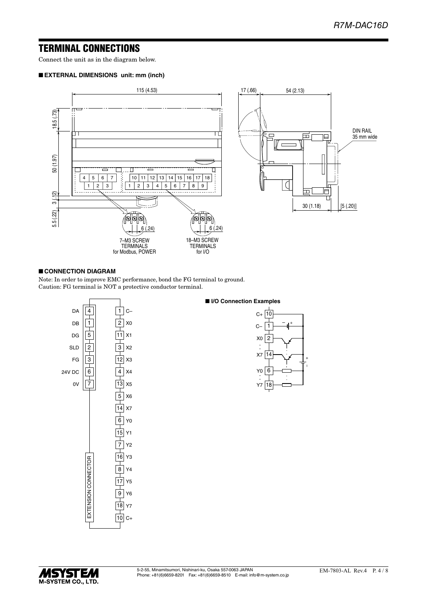### TERMINAL CONNECTIONS

Connect the unit as in the diagram below.

#### ■ **EXTERNAL DIMENSIONS unit: mm (inch)**



#### ■ **CONNECTION DIAGRAM**

Note: In order to improve EMC performance, bond the FG terminal to ground. Caution: FG terminal is NOT a protective conductor terminal.



### ■ **I/O Connection Examples**



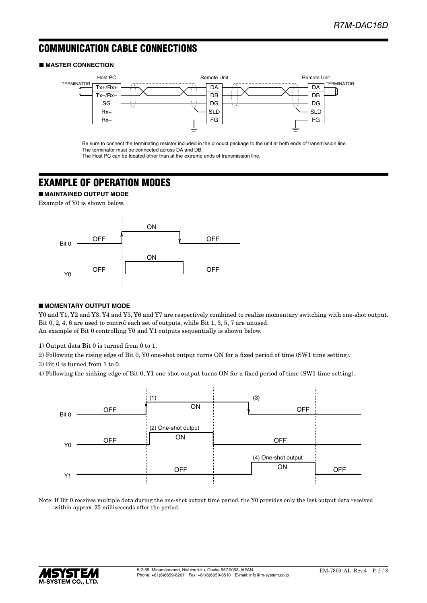### COMMUNICATION CABLE CONNECTIONS

### ■ **MASTER CONNECTION**



Be sure to connect the terminating resistor included in the product package to the unit at both ends of transmission line. The terminator must be connected across DA and DB.

The Host PC can be located other than at the extreme ends of transmission line.

### EXAMPLE OF OPERATION MODES

■ **MAINTAINED OUTPUT MODE**

Example of Y0 is shown below.



### ■ **MOMENTARY OUTPUT MODE**

Y0 and Y1, Y2 and Y3, Y4 and Y5, Y6 and Y7 are respectively combined to realize momentary switching with one-shot output. Bit 0, 2, 4, 6 are used to control each set of outputs, while Bit 1, 3, 5, 7 are unused. An example of Bit 0 controlling Y0 and Y1 outputs sequentially is shown below.

1) Output data Bit 0 is turned from 0 to 1.

2) Following the rising edge of Bit 0, Y0 one-shot output turns ON for a fixed period of time (SW1 time setting).

3) Bit 0 is turned from 1 to 0.

4) Following the sinking edge of Bit 0, Y1 one-shot output turns ON for a fixed period of time (SW1 time setting).



Note: If Bit 0 receives multiple data during the one-shot output time period, the Y0 provides only the last output data received within approx. 25 milliseconds after the period.

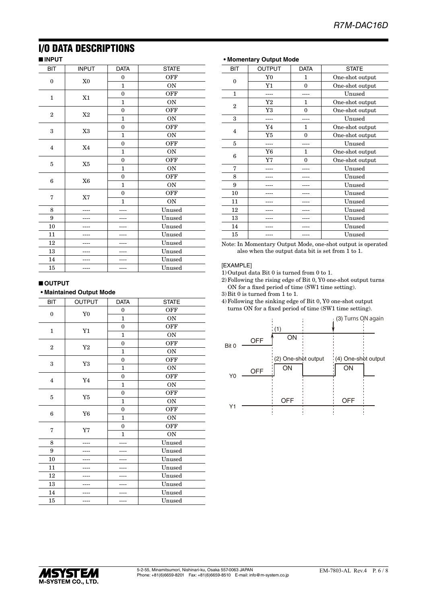## I/O DATA DESCRIPTIONS

### ■ **INPUT**

| <b>BIT</b>       | <b>INPUT</b>   | <b>DATA</b>  | <b>STATE</b> |
|------------------|----------------|--------------|--------------|
| $\boldsymbol{0}$ | X <sub>0</sub> | $\bf{0}$     | OFF          |
|                  |                | $\mathbf{1}$ | ON           |
|                  |                | $\bf{0}$     | OFF          |
| $\mathbf{1}$     | X1             | $\mathbf{1}$ | ON           |
| $\boldsymbol{2}$ | X2             | $\bf{0}$     | OFF          |
|                  |                | 1            | <b>ON</b>    |
| 3                | X3             | $\theta$     | OFF          |
|                  |                | $\mathbf{1}$ | ON           |
| $\overline{4}$   | X4             | $\mathbf{0}$ | OFF          |
|                  |                | 1            | ON           |
| 5                |                | $\mathbf{0}$ | OFF          |
|                  | $\rm X5$       | $\mathbf{1}$ | ON           |
| 6                | X <sub>6</sub> | $\mathbf{0}$ | OFF          |
|                  |                | $\mathbf{1}$ | ON           |
| 7                | X7             | $\bf{0}$     | OFF          |
|                  |                | $\mathbf{1}$ | <b>ON</b>    |
| 8                |                |              | Unused       |
| 9                |                |              | Unused       |
| 10               |                |              | Unused       |
| 11               |                |              | Unused       |
| 12               |                |              | Unused       |
| 13               |                |              | Unused       |
| 14               |                |              | Unused       |
| 15               |                |              | Unused       |

### ■ **OUTPUT**

### **• Maintained Output Mode**

| BIT              | OUTPUT         | <b>DATA</b>  | <b>STATE</b> |
|------------------|----------------|--------------|--------------|
| $\boldsymbol{0}$ | Y <sub>0</sub> | $\mathbf{0}$ | OFF          |
|                  |                | $\mathbf{1}$ | ON           |
|                  |                | $\theta$     | OFF          |
| $\mathbf 1$      | Y1             | $\mathbf{1}$ | ON           |
| $\overline{2}$   | Y2             | $\mathbf{0}$ | OFF          |
|                  |                | $\mathbf{1}$ | <b>ON</b>    |
| 3                | $\rm Y3$       | $\mathbf{0}$ | OFF          |
|                  |                | 1            | <b>ON</b>    |
| $\overline{4}$   | ${\bf Y4}$     | $\mathbf{0}$ | OFF          |
|                  |                | $\mathbf{1}$ | ON           |
| 5                |                | $\mathbf{0}$ | <b>OFF</b>   |
|                  | $\rm Y5$       | $\mathbf{1}$ | ON           |
| 6                |                | $\mathbf{0}$ | <b>OFF</b>   |
|                  | ${\bf Y6}$     | $\mathbf{1}$ | ON           |
| 7                |                | $\mathbf{0}$ | <b>OFF</b>   |
|                  | Y7             | $\mathbf{1}$ | ON           |
| 8                |                |              | Unused       |
| 9                |                |              | Unused       |
| 10               |                |              | Unused       |
| 11               |                |              | Unused       |
| 12               |                |              | Unused       |
| 13               |                |              | Unused       |
| 14               |                |              | Unused       |
| 15               |                |              | Unused       |

# **• Momentary Output Mode**

| <b>BIT</b>              | OUTPUT         | <b>DATA</b> | <b>STATE</b>    |
|-------------------------|----------------|-------------|-----------------|
| $\Omega$                | Y <sub>0</sub> | 1           | One-shot output |
|                         | Y1             | $\theta$    | One-shot output |
| 1                       |                |             | Unused          |
| $\mathbf{2}$            | Y2             | 1           | One-shot output |
|                         | Y3             | $\Omega$    | One-shot output |
| 3                       |                |             | Unused          |
| $\overline{\mathbf{4}}$ | Y4             | 1           | One-shot output |
|                         | Y5             | $\theta$    | One-shot output |
| 5                       |                |             | Unused          |
| 6                       | Y6             | 1           | One-shot output |
|                         | Y7             | $\Omega$    | One-shot output |
| 7                       |                |             | Unused          |
| 8                       |                |             | Unused          |
| 9                       |                |             | Unused          |
| 10                      |                |             | Unused          |
| 11                      |                |             | Unused          |
| 12                      |                |             | Unused          |
| 13                      |                |             | Unused          |
| 14                      |                |             | Unused          |
| 15                      |                |             | Unused          |

Note: In Momentary Output Mode, one-shot output is operated also when the output data bit is set from 1 to 1.

#### [EXAMPLE]

1) Output data Bit 0 is turned from 0 to 1.

2) Following the rising edge of Bit 0, Y0 one-shot output turns ON for a fixed period of time (SW1 time setting).

3) Bit 0 is turned from 1 to 1.

4) Following the sinking edge of Bit 0, Y0 one-shot output turns ON for a fixed period of time (SW1 time setting).



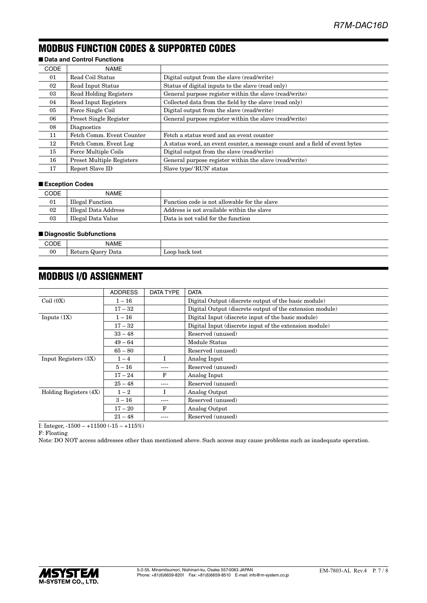### MODBUS FUNCTION CODES & SUPPORTED CODES

### ■ **Data and Control Functions**

| <b>CODE</b> | <b>NAME</b>                      |                                                                             |
|-------------|----------------------------------|-----------------------------------------------------------------------------|
| 01          | Read Coil Status                 | Digital output from the slave (read/write)                                  |
| 02          | Read Input Status                | Status of digital inputs to the slave (read only)                           |
| 03          | <b>Read Holding Registers</b>    | General purpose register within the slave (read/write)                      |
| 04          | Read Input Registers             | Collected data from the field by the slave (read only)                      |
| 05          | Force Single Coil                | Digital output from the slave (read/write)                                  |
| 06          | Preset Single Register           | General purpose register within the slave (read/write)                      |
| 08          | Diagnostics                      |                                                                             |
| 11          | Fetch Comm. Event Counter        | Fetch a status word and an event counter                                    |
| 12          | Fetch Comm. Event Log            | A status word, an event counter, a message count and a field of event bytes |
| 15          | Force Multiple Coils             | Digital output from the slave (read/write)                                  |
| 16          | <b>Preset Multiple Registers</b> | General purpose register within the slave (read/write)                      |
| 17          | Report Slave ID                  | Slave type/'RUN' status                                                     |

### ■ **Exception Codes**

| CODE | <b>NAME</b>          |                                              |
|------|----------------------|----------------------------------------------|
| 01   | Illegal Function     | Function code is not allowable for the slave |
| 02   | Illegal Data Address | Address is not available within the slave    |
| 03   | Illegal Data Value   | Data is not valid for the function           |

### ■ **Diagnostic Subfunctions**

| ノレニ | $\cdots$<br>NAME                |                                     |
|-----|---------------------------------|-------------------------------------|
| 00  | Return<br>Data<br>$-222$<br>wut | $\alpha$<br>back test<br><b>LUU</b> |
|     |                                 |                                     |

### MODBUS I/O ASSIGNMENT

|                        | <b>ADDRESS</b> | DATA TYPE | <b>DATA</b>                                              |
|------------------------|----------------|-----------|----------------------------------------------------------|
| Coil(0X)               | $1 - 16$       |           | Digital Output (discrete output of the basic module)     |
|                        | $17 - 32$      |           | Digital Output (discrete output of the extension module) |
| Inputs $(1X)$          | $1 - 16$       |           | Digital Input (discrete input of the basic module)       |
|                        | $17 - 32$      |           | Digital Input (discrete input of the extension module)   |
|                        | $33 - 48$      |           | Reserved (unused)                                        |
|                        | $49 - 64$      |           | Module Status                                            |
|                        | $65 - 80$      |           | Reserved (unused)                                        |
| Input Registers (3X)   | $1 - 4$        |           | Analog Input                                             |
|                        | $5 - 16$       | ----      | Reserved (unused)                                        |
|                        | $17 - 24$      | F         | Analog Input                                             |
|                        | $25 - 48$      | ----      | Reserved (unused)                                        |
| Holding Registers (4X) | $1 - 2$        |           | Analog Output                                            |
|                        | $3-16$         | ----      | Reserved (unused)                                        |
|                        | $17 - 20$      | F         | Analog Output                                            |
|                        | $21 - 48$      |           | Reserved (unused)                                        |

I: Integer, -1500 – +11500 (-15 – +115%)

F: Floating

Note: DO NOT access addresses other than mentioned above. Such access may cause problems such as inadequate operation.